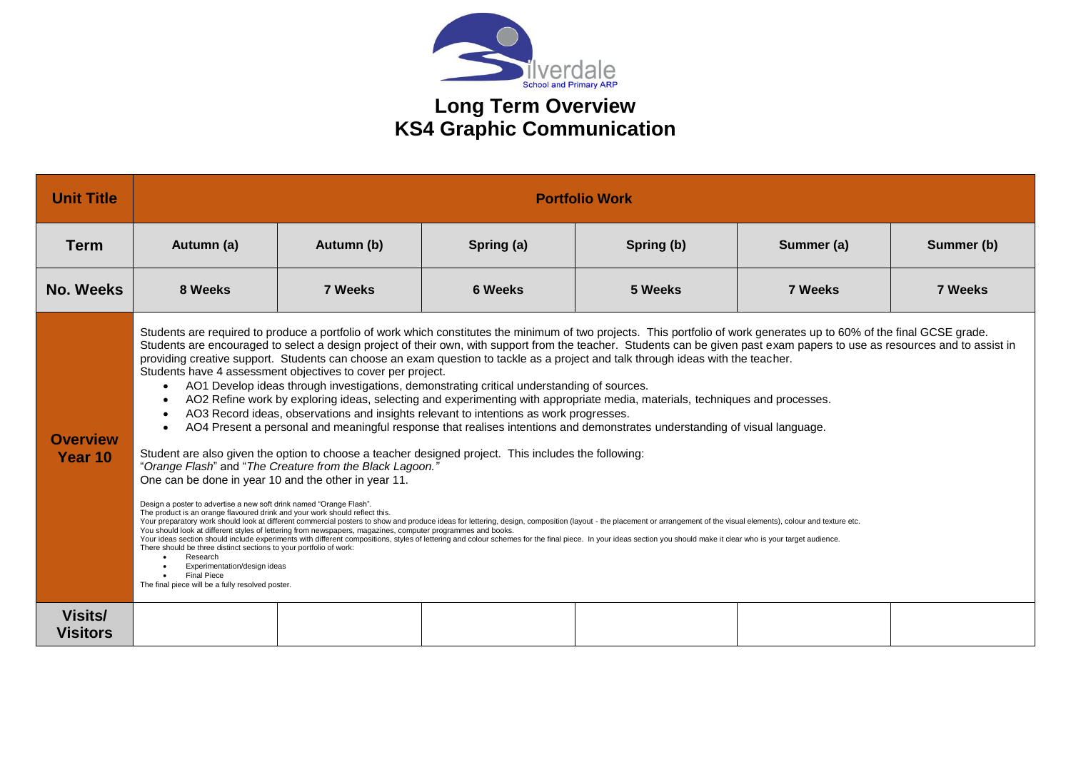

## **Long Term Overview KS4 Graphic Communication**

| <b>Unit Title</b>          | <b>Portfolio Work</b>                                                                                                                                                                                                                                                                                                                                                                                                                                                                                                                                                                                                                                                                                                                                                                                                                                                                                                                                                                                                                                                                                                                                                                                                                                                                                                                                                                                                                                                                                                                                                                                                                                                                                                                                                                                                                                                                                                                                                                                                                                                                                                                                                                                            |            |                |            |                |            |  |  |  |  |
|----------------------------|------------------------------------------------------------------------------------------------------------------------------------------------------------------------------------------------------------------------------------------------------------------------------------------------------------------------------------------------------------------------------------------------------------------------------------------------------------------------------------------------------------------------------------------------------------------------------------------------------------------------------------------------------------------------------------------------------------------------------------------------------------------------------------------------------------------------------------------------------------------------------------------------------------------------------------------------------------------------------------------------------------------------------------------------------------------------------------------------------------------------------------------------------------------------------------------------------------------------------------------------------------------------------------------------------------------------------------------------------------------------------------------------------------------------------------------------------------------------------------------------------------------------------------------------------------------------------------------------------------------------------------------------------------------------------------------------------------------------------------------------------------------------------------------------------------------------------------------------------------------------------------------------------------------------------------------------------------------------------------------------------------------------------------------------------------------------------------------------------------------------------------------------------------------------------------------------------------------|------------|----------------|------------|----------------|------------|--|--|--|--|
| <b>Term</b>                | Autumn (a)                                                                                                                                                                                                                                                                                                                                                                                                                                                                                                                                                                                                                                                                                                                                                                                                                                                                                                                                                                                                                                                                                                                                                                                                                                                                                                                                                                                                                                                                                                                                                                                                                                                                                                                                                                                                                                                                                                                                                                                                                                                                                                                                                                                                       | Autumn (b) | Spring (a)     | Spring (b) | Summer (a)     | Summer (b) |  |  |  |  |
| <b>No. Weeks</b>           | 8 Weeks                                                                                                                                                                                                                                                                                                                                                                                                                                                                                                                                                                                                                                                                                                                                                                                                                                                                                                                                                                                                                                                                                                                                                                                                                                                                                                                                                                                                                                                                                                                                                                                                                                                                                                                                                                                                                                                                                                                                                                                                                                                                                                                                                                                                          | 7 Weeks    | <b>6 Weeks</b> | 5 Weeks    | <b>7 Weeks</b> | 7 Weeks    |  |  |  |  |
| <b>Overview</b><br>Year 10 | Students are required to produce a portfolio of work which constitutes the minimum of two projects. This portfolio of work generates up to 60% of the final GCSE grade.<br>Students are encouraged to select a design project of their own, with support from the teacher. Students can be given past exam papers to use as resources and to assist in<br>providing creative support. Students can choose an exam question to tackle as a project and talk through ideas with the teacher.<br>Students have 4 assessment objectives to cover per project.<br>AO1 Develop ideas through investigations, demonstrating critical understanding of sources.<br>$\bullet$<br>AO2 Refine work by exploring ideas, selecting and experimenting with appropriate media, materials, techniques and processes.<br>$\bullet$<br>AO3 Record ideas, observations and insights relevant to intentions as work progresses.<br>$\bullet$<br>AO4 Present a personal and meaningful response that realises intentions and demonstrates understanding of visual language.<br>$\bullet$<br>Student are also given the option to choose a teacher designed project. This includes the following:<br>"Orange Flash" and "The Creature from the Black Lagoon."<br>One can be done in year 10 and the other in year 11.<br>Design a poster to advertise a new soft drink named "Orange Flash".<br>The product is an orange flavoured drink and your work should reflect this.<br>Your preparatory work should look at different commercial posters to show and produce ideas for lettering, design, composition (layout - the placement or arrangement of the visual elements), colour and texture etc.<br>You should look at different styles of lettering from newspapers, magazines, computer programmes and books.<br>Your ideas section should include experiments with different compositions, styles of lettering and colour schemes for the final piece. In your ideas section you should make it clear who is your target audience.<br>There should be three distinct sections to your portfolio of work:<br>Research<br>Experimentation/design ideas<br><b>Final Piece</b><br>The final piece will be a fully resolved poster. |            |                |            |                |            |  |  |  |  |
| Visits/<br><b>Visitors</b> |                                                                                                                                                                                                                                                                                                                                                                                                                                                                                                                                                                                                                                                                                                                                                                                                                                                                                                                                                                                                                                                                                                                                                                                                                                                                                                                                                                                                                                                                                                                                                                                                                                                                                                                                                                                                                                                                                                                                                                                                                                                                                                                                                                                                                  |            |                |            |                |            |  |  |  |  |